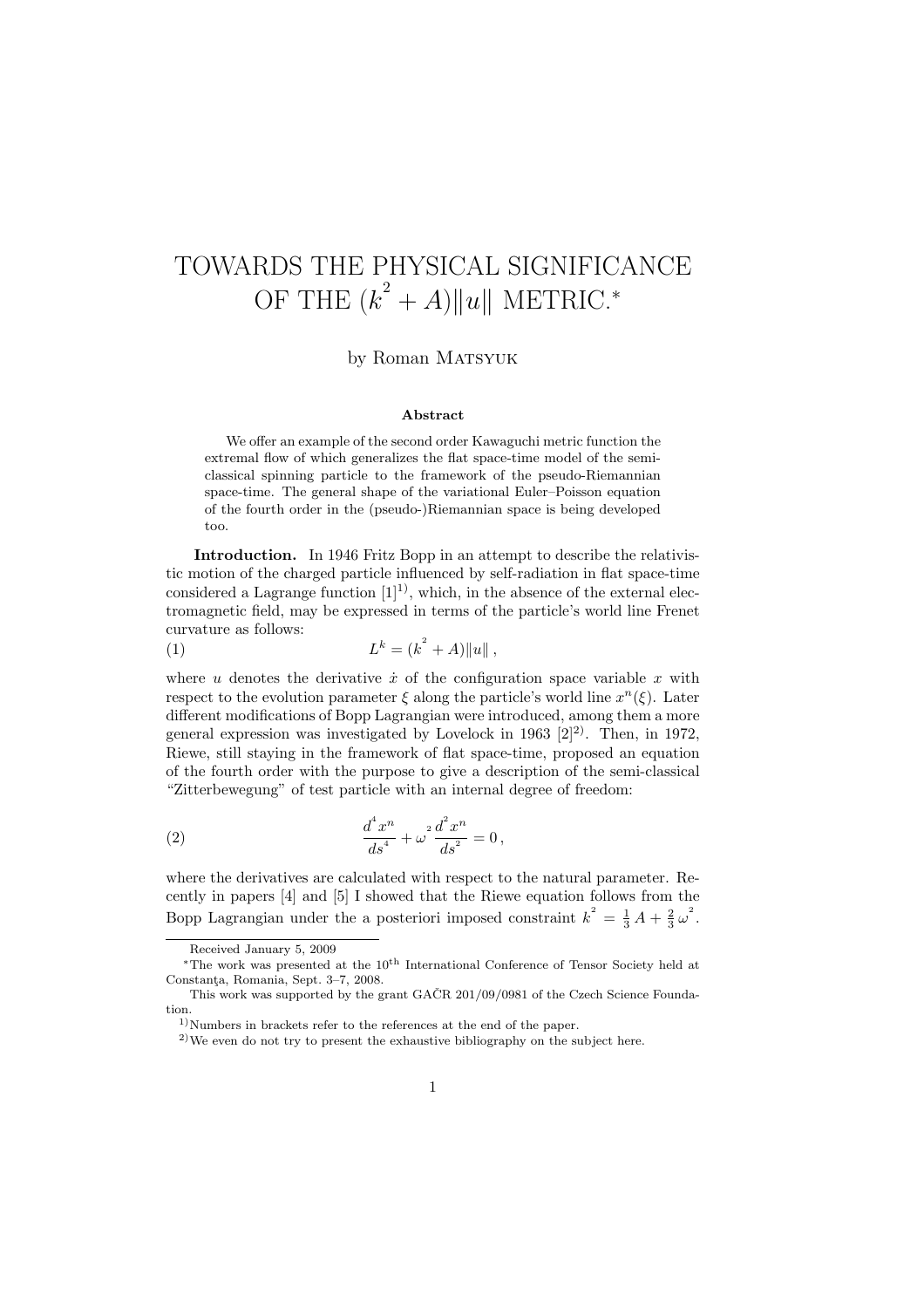# TOWARDS THE PHYSICAL SIGNIFICANCE OF THE  $(k^2 + A) ||u||$  METRIC.<sup>\*</sup>

### by Roman MATSYUK

#### Abstract

We offer an example of the second order Kawaguchi metric function the extremal flow of which generalizes the flat space-time model of the semiclassical spinning particle to the framework of the pseudo-Riemannian space-time. The general shape of the variational Euler–Poisson equation of the fourth order in the (pseudo-)Riemannian space is being developed too.

Introduction. In 1946 Fritz Bopp in an attempt to describe the relativistic motion of the charged particle influenced by self-radiation in flat space-time considered a Lagrange function  $[1]^{1}$ , which, in the absence of the external electromagnetic field, may be expressed in terms of the particle's world line Frenet curvature as follows:  $\overline{2}$ 

(1) 
$$
L^k = (k^2 + A) ||u||,
$$

where u denotes the derivative  $\dot{x}$  of the configuration space variable x with respect to the evolution parameter  $\xi$  along the particle's world line  $x^n(\xi)$ . Later different modifications of Bopp Lagrangian were introduced, among them a more general expression was investigated by Lovelock in 1963  $[2]^2$ . Then, in 1972, Riewe, still staying in the framework of flat space-time, proposed an equation of the fourth order with the purpose to give a description of the semi-classical "Zitterbewegung" of test particle with an internal degree of freedom:

(2) 
$$
\frac{d^4 x^n}{ds^4} + \omega^2 \frac{d^2 x^n}{ds^2} = 0,
$$

where the derivatives are calculated with respect to the natural parameter. Recently in papers [4] and [5] I showed that the Riewe equation follows from the Bopp Lagrangian under the a posteriori imposed constraint  $k^2 = \frac{1}{3}A + \frac{2}{3}\omega^2$ .

Received January 5, 2009

<sup>∗</sup>The work was presented at the 10th International Conference of Tensor Society held at Constanta, Romania, Sept. 3-7, 2008.

This work was supported by the grant GAČR  $201/09/0981$  of the Czech Science Foundation.

 $1)$ Numbers in brackets refer to the references at the end of the paper.

<sup>2)</sup>We even do not try to present the exhaustive bibliography on the subject here.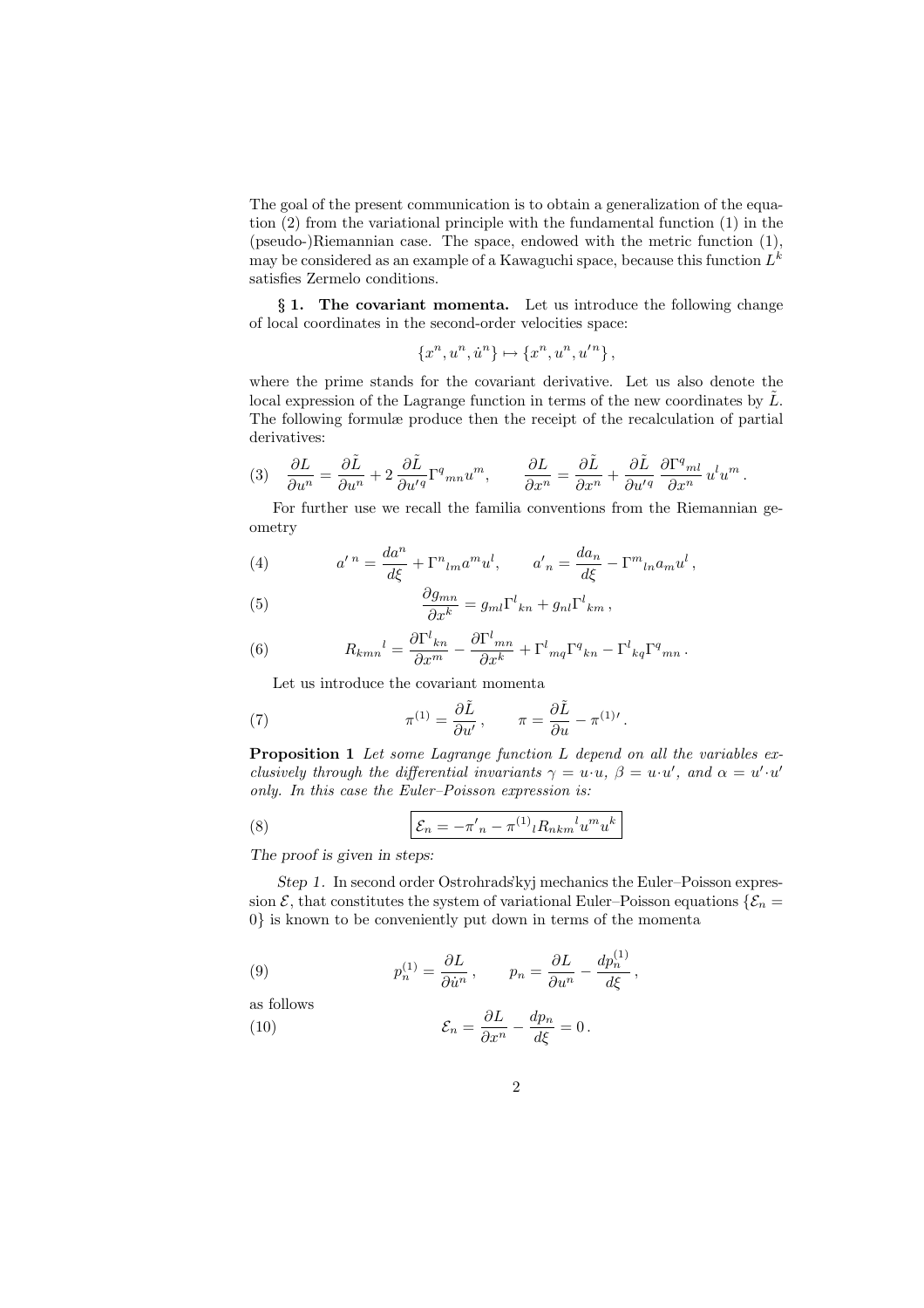The goal of the present communication is to obtain a generalization of the equation (2) from the variational principle with the fundamental function (1) in the (pseudo-)Riemannian case. The space, endowed with the metric function (1), may be considered as an example of a Kawaguchi space, because this function  $L^k$ satisfies Zermelo conditions.

§ 1. The covariant momenta. Let us introduce the following change of local coordinates in the second-order velocities space:

$$
\{x^n, u^n, \dot{u}^n\} \mapsto \{x^n, u^n, u'^n\},\
$$

where the prime stands for the covariant derivative. Let us also denote the local expression of the Lagrange function in terms of the new coordinates by  $\tilde{L}$ . The following formulæ produce then the receipt of the recalculation of partial derivatives:

$$
(3) \quad \frac{\partial L}{\partial u^n} = \frac{\partial \tilde{L}}{\partial u^n} + 2 \frac{\partial \tilde{L}}{\partial u'^q} \Gamma^q{}_{mn} u^m, \qquad \frac{\partial L}{\partial x^n} = \frac{\partial \tilde{L}}{\partial x^n} + \frac{\partial \tilde{L}}{\partial u'^q} \frac{\partial \Gamma^q{}_{ml}}{\partial x^n} u^l u^m.
$$

For further use we recall the familia conventions from the Riemannian geometry

(4) 
$$
a'^n = \frac{da^n}{d\xi} + \Gamma^n{}_{lm} a^m u^l, \qquad a'_n = \frac{da_n}{d\xi} - \Gamma^m{}_{ln} a_m u^l,
$$

(5) 
$$
\frac{\partial g_{mn}}{\partial x^k} = g_{ml} \Gamma^l{}_{kn} + g_{nl} \Gamma^l{}_{km},
$$

(6) 
$$
R_{kmn}{}^{l} = \frac{\partial \Gamma^{l}{}_{kn}}{\partial x^{m}} - \frac{\partial \Gamma^{l}{}_{mn}}{\partial x^{k}} + \Gamma^{l}{}_{mq} \Gamma^{q}{}_{kn} - \Gamma^{l}{}_{kq} \Gamma^{q}{}_{mn}.
$$

Let us introduce the covariant momenta

(7) 
$$
\pi^{(1)} = \frac{\partial \tilde{L}}{\partial u'}, \qquad \pi = \frac{\partial \tilde{L}}{\partial u} - \pi^{(1)}'.
$$

Proposition 1 Let some Lagrange function L depend on all the variables exclusively through the differential invariants  $\gamma = u \cdot u$ ,  $\beta = u \cdot u'$ , and  $\alpha = u' \cdot u'$ only. In this case the Euler–Poisson expression is:

(8) 
$$
\mathcal{E}_n = -\pi'_n - \pi^{(1)}{}_l R_{nkm}{}^l u^m u^k
$$

The proof is given in steps:

Step 1. In second order Ostrohrads'kyj mechanics the Euler–Poisson expression  $\mathcal{E}$ , that constitutes the system of variational Euler–Poisson equations  $\{\mathcal{E}_n =$ 0} is known to be conveniently put down in terms of the momenta

(9) 
$$
p_n^{(1)} = \frac{\partial L}{\partial \dot{u}^n}, \qquad p_n = \frac{\partial L}{\partial u^n} - \frac{dp_n^{(1)}}{d\xi},
$$

as follows

(10) 
$$
\mathcal{E}_n = \frac{\partial L}{\partial x^n} - \frac{dp_n}{d\xi} = 0.
$$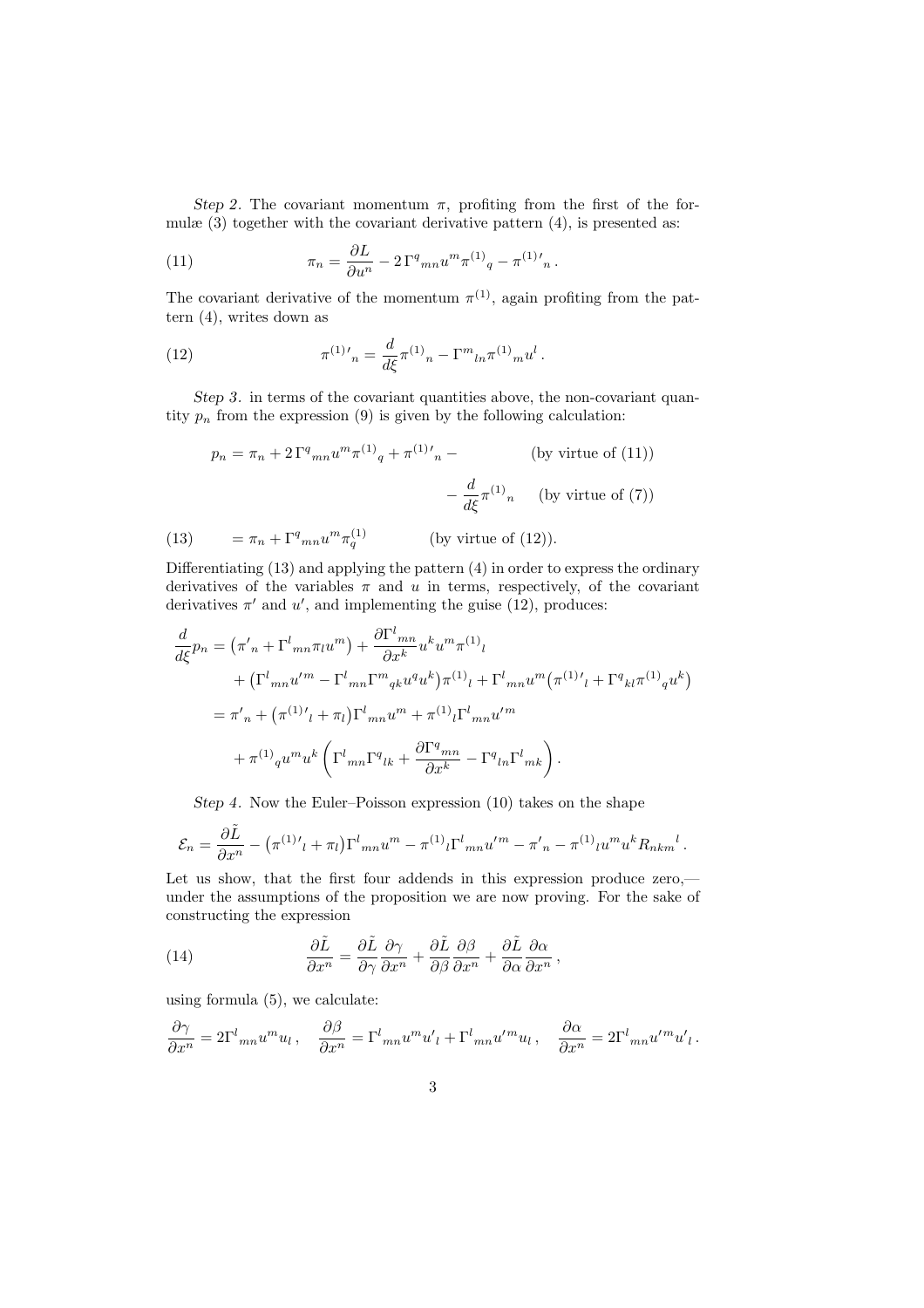Step 2. The covariant momentum  $\pi$ , profiting from the first of the formulæ (3) together with the covariant derivative pattern (4), is presented as:

(11) 
$$
\pi_n = \frac{\partial L}{\partial u^n} - 2\Gamma^q{}_{mn} u^m \pi^{(1)}{}_q - \pi^{(1)}{}'_{n}.
$$

The covariant derivative of the momentum  $\pi^{(1)}$ , again profiting from the pattern (4), writes down as

(12) 
$$
\pi^{(1)}{}'_{n} = \frac{d}{d\xi} \pi^{(1)}{}_{n} - \Gamma^{m}{}_{ln} \pi^{(1)}{}_{m} u^{l}.
$$

Step 3. in terms of the covariant quantities above, the non-covariant quantity  $p_n$  from the expression (9) is given by the following calculation:

$$
p_n = \pi_n + 2\Gamma^q{}_{mn} u^m \pi^{(1)}{}_q + \pi^{(1)}{}'_{n} -
$$
 (by virtue of (11))  

$$
- \frac{d}{d\xi} \pi^{(1)}{}_n
$$
 (by virtue of (7))  
(13) 
$$
= \pi_n + \Gamma^q{}_{mn} u^m \pi_q^{(1)}
$$
 (by virtue of (12)).

Differentiating (13) and applying the pattern (4) in order to express the ordinary derivatives of the variables  $\pi$  and  $u$  in terms, respectively, of the covariant derivatives  $\pi'$  and  $u'$ , and implementing the guise (12), produces:

$$
\frac{d}{d\xi}p_n = (\pi'_{n} + \Gamma^l{}_{mn}\pi_l u^m) + \frac{\partial \Gamma^l{}_{mn}}{\partial x^k} u^k u^m \pi^{(1)}_l \n+ (\Gamma^l{}_{mn} u'^m - \Gamma^l{}_{mn} \Gamma^m{}_{qk} u^q u^k) \pi^{(1)}_l + \Gamma^l{}_{mn} u^m (\pi^{(1)}'_l + \Gamma^q{}_{kl} \pi^{(1)}_q u^k) \n= \pi'_{n} + (\pi^{(1)}'_l + \pi_l) \Gamma^l{}_{mn} u^m + \pi^{(1)}_l \Gamma^l{}_{mn} u'^m \n+ \pi^{(1)}_q u^m u^k \left( \Gamma^l{}_{mn} \Gamma^q{}_{lk} + \frac{\partial \Gamma^q{}_{mn}}{\partial x^k} - \Gamma^q{}_{ln} \Gamma^l{}_{mk} \right).
$$

Step 4. Now the Euler–Poisson expression (10) takes on the shape

$$
\mathcal{E}_n = \frac{\partial \tilde{L}}{\partial x^n} - (\pi^{(1)}'_{l} + \pi_{l}) \Gamma^l_{mn} u^m - \pi^{(1)}_{l} \Gamma^l_{mn} u'^m - \pi'_{n} - \pi^{(1)}_{l} u^m u^k R_{nkm}{}^l.
$$

Let us show, that the first four addends in this expression produce zero, under the assumptions of the proposition we are now proving. For the sake of constructing the expression

(14) 
$$
\frac{\partial \tilde{L}}{\partial x^n} = \frac{\partial \tilde{L}}{\partial \gamma} \frac{\partial \gamma}{\partial x^n} + \frac{\partial \tilde{L}}{\partial \beta} \frac{\partial \beta}{\partial x^n} + \frac{\partial \tilde{L}}{\partial \alpha} \frac{\partial \alpha}{\partial x^n},
$$

using formula (5), we calculate:

$$
\frac{\partial \gamma}{\partial x^n} = 2\Gamma^l{}_{mn} u^m u_l \,, \quad \frac{\partial \beta}{\partial x^n} = \Gamma^l{}_{mn} u^m u'_l + \Gamma^l{}_{mn} u'^m u_l \,, \quad \frac{\partial \alpha}{\partial x^n} = 2\Gamma^l{}_{mn} u'^m u'_l \,.
$$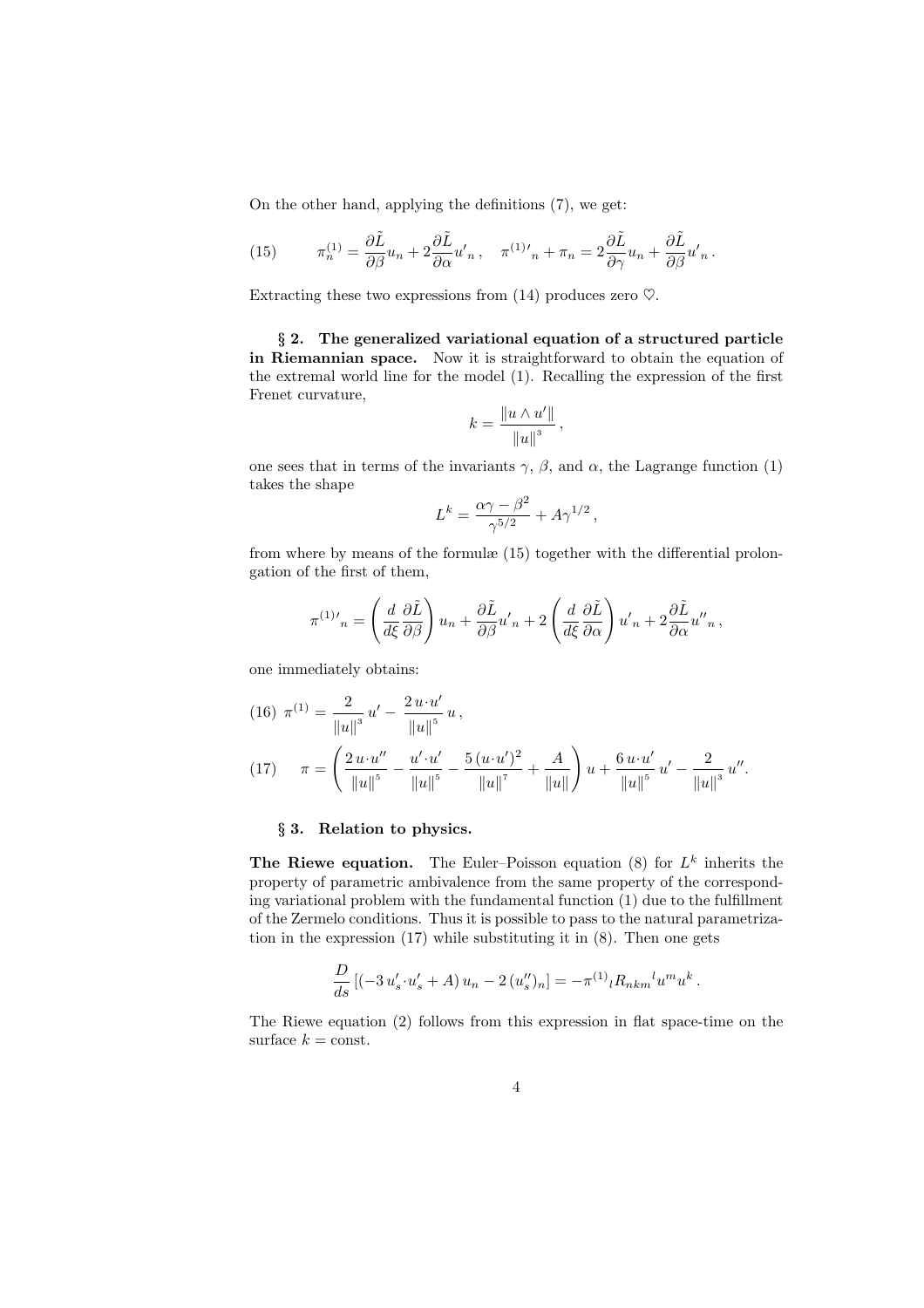On the other hand, applying the definitions (7), we get:

(15) 
$$
\pi_n^{(1)} = \frac{\partial \tilde{L}}{\partial \beta} u_n + 2 \frac{\partial \tilde{L}}{\partial \alpha} u'_n, \quad \pi^{(1)}{}'_{n} + \pi_n = 2 \frac{\partial \tilde{L}}{\partial \gamma} u_n + \frac{\partial \tilde{L}}{\partial \beta} u'_n.
$$

Extracting these two expressions from (14) produces zero  $\heartsuit$ .

§ 2. The generalized variational equation of a structured particle in Riemannian space. Now it is straightforward to obtain the equation of the extremal world line for the model (1). Recalling the expression of the first Frenet curvature,

$$
k = \frac{\|u \wedge u'\|}{\|u\|^3},
$$

one sees that in terms of the invariants  $\gamma$ ,  $\beta$ , and  $\alpha$ , the Lagrange function (1) takes the shape

$$
L^k = \frac{\alpha \gamma - \beta^2}{\gamma^{5/2}} + A \gamma^{1/2},
$$

from where by means of the formulæ (15) together with the differential prolongation of the first of them,

$$
\pi^{(1)'}{}_{n} = \left(\frac{d}{d\xi}\frac{\partial \tilde{L}}{\partial \beta}\right)u_{n} + \frac{\partial \tilde{L}}{\partial \beta}u'_{n} + 2\left(\frac{d}{d\xi}\frac{\partial \tilde{L}}{\partial \alpha}\right)u'_{n} + 2\frac{\partial \tilde{L}}{\partial \alpha}u''_{n},
$$

one immediately obtains:

(16) 
$$
\pi^{(1)} = \frac{2}{\|u\|^3} u' - \frac{2 u \cdot u'}{\|u\|^5} u,
$$
  
(17) 
$$
\pi = \left(\frac{2 u \cdot u''}{\|u\|^5} - \frac{u' \cdot u'}{\|u\|^5} - \frac{5 (u \cdot u')^2}{\|u\|^7} + \frac{A}{\|u\|}\right) u + \frac{6 u \cdot u'}{\|u\|^5} u' - \frac{2}{\|u\|^3} u''.
$$

#### § 3. Relation to physics.

The Riewe equation. The Euler-Poisson equation (8) for  $L^k$  inherits the property of parametric ambivalence from the same property of the corresponding variational problem with the fundamental function (1) due to the fulfillment of the Zermelo conditions. Thus it is possible to pass to the natural parametrization in the expression (17) while substituting it in (8). Then one gets

$$
\frac{D}{ds}\left[(-3 u_s' \cdot u_s' + A) u_n - 2 (u_s'')_n\right] = -\pi^{(1)}{}_l R_{nkm}{}^l u^m u^k.
$$

The Riewe equation (2) follows from this expression in flat space-time on the surface  $k = \text{const.}$